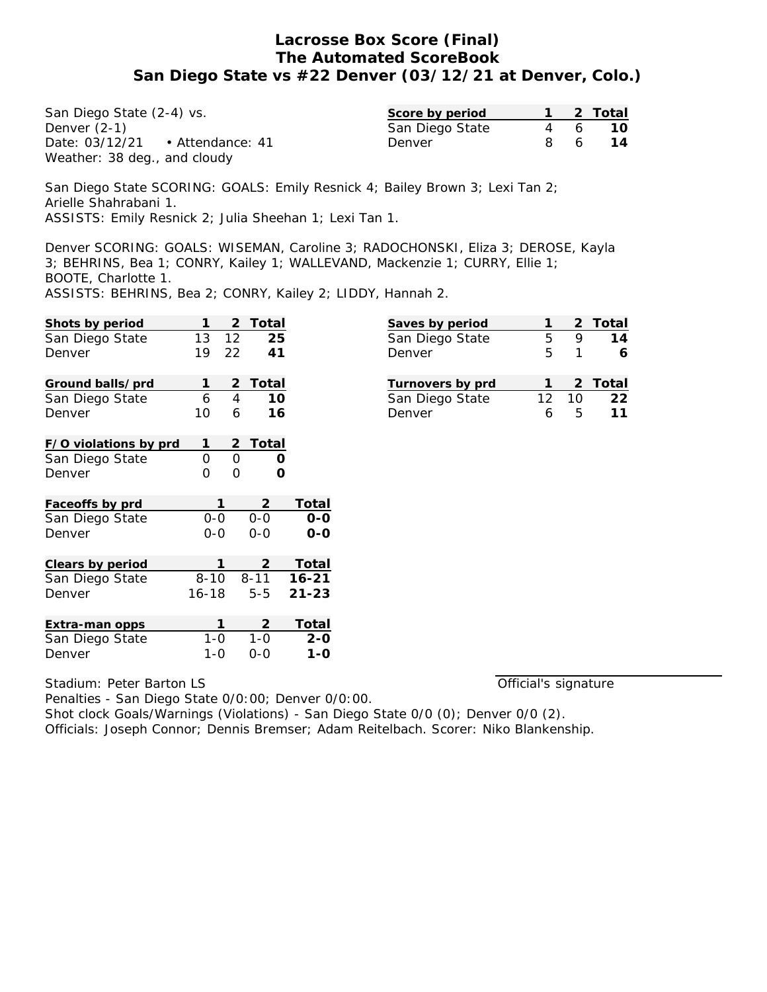San Diego State (2-4) vs. Denver (2-1) Date: 03/12/21 • Attendance: 41 Weather: 38 deg., and cloudy

| Score by period |            | 2 Total |
|-----------------|------------|---------|
| San Diego State | 6          | 1 O     |
| Denver          | $\sqrt{2}$ | 14      |

San Diego State SCORING: GOALS: Emily Resnick 4; Bailey Brown 3; Lexi Tan 2; Arielle Shahrabani 1. ASSISTS: Emily Resnick 2; Julia Sheehan 1; Lexi Tan 1.

Denver SCORING: GOALS: WISEMAN, Caroline 3; RADOCHONSKI, Eliza 3; DEROSE, Kayla 3; BEHRINS, Bea 1; CONRY, Kailey 1; WALLEVAND, Mackenzie 1; CURRY, Ellie 1; BOOTE, Charlotte 1.

ASSISTS: BEHRINS, Bea 2; CONRY, Kailey 2; LIDDY, Hannah 2.

| Shots by period       | 1         | 2  | Total    |           |
|-----------------------|-----------|----|----------|-----------|
| San Diego State       | 13        | 12 | 25       |           |
| Denver                | 19        | 22 | 41       |           |
| Ground balls/prd      | 1         | 2  | Total    |           |
| San Diego State       | 6         | 4  | 10       |           |
| Denver                | 10        | 6  | 16       |           |
| F/O violations by prd | 1         | 2  | Total    |           |
| San Diego State       | O         | O  | Ω        |           |
| Denver                | 0         | Ω  | Ω        |           |
| Faceoffs by prd       | 1         |    | 2        | Total     |
| San Diego State       | $0 - 0$   |    | $0 - 0$  | 0-0       |
| Denver                | $0 - 0$   |    | $0 - 0$  | 0-0       |
| Clears by period      | 1         |    | 2        | Total     |
| San Diego State       | $8 - 10$  |    | $8 - 11$ | $16 - 21$ |
| Denver                | $16 - 18$ |    | $5 - 5$  | $21 - 23$ |
| Extra-man opps        | 1         |    | 2        | Total     |
| San Diego State       | 1-0       |    | 1-0      | $2 - 0$   |
| Denver                | 1-0       |    | 0-0      | 1-0       |

| Saves by period  |    |    | 2 Total |
|------------------|----|----|---------|
| San Diego State  | 5  |    | 14      |
| Denver           | 5  |    |         |
| Turnovers by prd |    |    | 2 Total |
|                  |    |    |         |
| San Diego State  | 12 | 10 | 22      |
| Denver           | Ь  | 5  | 11      |

Stadium: Peter Barton LS

Official's signature

Penalties - San Diego State 0/0:00; Denver 0/0:00. Shot clock Goals/Warnings (Violations) - San Diego State 0/0 (0); Denver 0/0 (2). Officials: Joseph Connor; Dennis Bremser; Adam Reitelbach. Scorer: Niko Blankenship.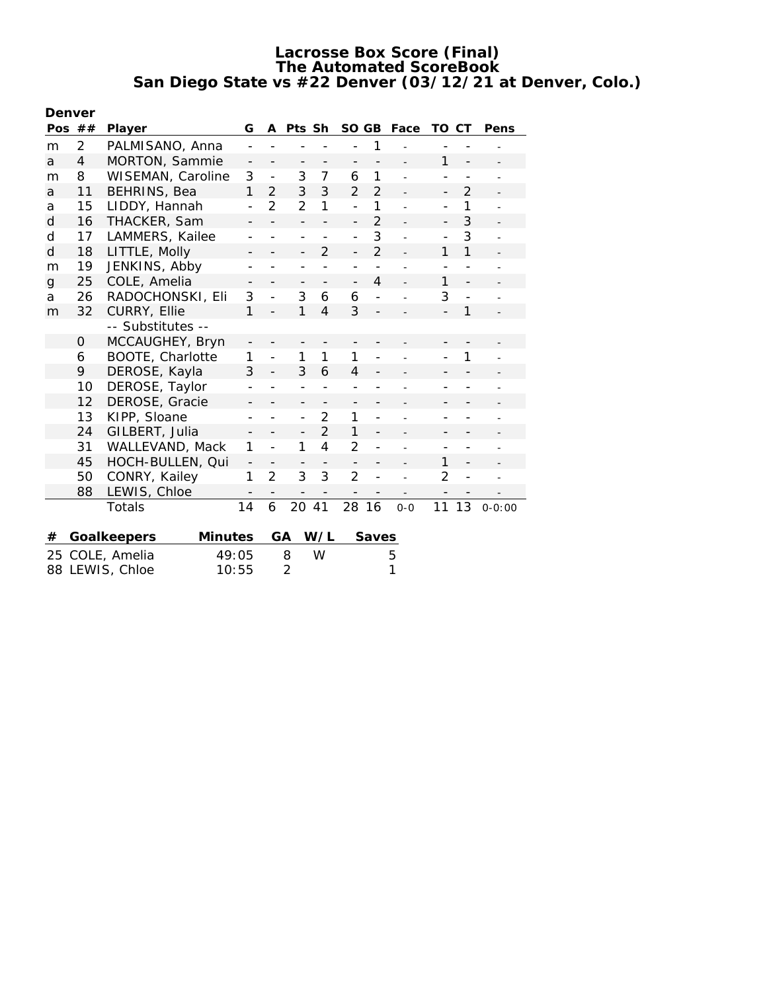| Denver         |                                 |                        |                          |                          |                          |                          |                          |                          |                |                          |                          |                |
|----------------|---------------------------------|------------------------|--------------------------|--------------------------|--------------------------|--------------------------|--------------------------|--------------------------|----------------|--------------------------|--------------------------|----------------|
| Pos $##$       |                                 | Player                 | G                        | A                        | Pts Sh                   |                          | SO GB                    |                          | Face           | TO                       | СT                       | Pens           |
| m              | $\overline{2}$                  | PALMISANO, Anna        |                          |                          |                          |                          |                          | 1                        |                |                          |                          |                |
| a              | 4                               | MORTON, Sammie         | $\qquad \qquad -$        | $\overline{\phantom{0}}$ | $\overline{\phantom{0}}$ | $\overline{\phantom{a}}$ | -                        | $\overline{\phantom{0}}$ |                | 1                        | $\overline{\phantom{a}}$ |                |
| m              | 8                               | WISEMAN, Caroline      | 3                        | $\frac{1}{2}$            | 3                        | $\overline{7}$           | 6                        | $\mathbf{1}$             |                | $\overline{a}$           | $\overline{a}$           |                |
| a              | 11                              | <b>BEHRINS, Bea</b>    | 1                        | $\overline{2}$           | 3                        | 3                        | $\overline{2}$           | $\overline{2}$           |                | $\qquad \qquad -$        | $\overline{2}$           |                |
| a              | 15                              | LIDDY, Hannah          | $\overline{a}$           | $\overline{2}$           | $\overline{2}$           | 1                        | $\overline{a}$           | $\mathbf{1}$             |                | $\overline{a}$           | 1                        |                |
| d              | 16                              | THACKER, Sam           | -                        |                          | $\overline{\phantom{0}}$ |                          | $\overline{\phantom{0}}$ | $\overline{2}$           |                | $\overline{\phantom{0}}$ | 3                        |                |
| d              | 17                              | LAMMERS, Kailee        | $\overline{\phantom{a}}$ | $\overline{\phantom{0}}$ | $\overline{\phantom{a}}$ | $\overline{\phantom{0}}$ | $\overline{a}$           | 3                        | ÷,             | $\overline{\phantom{a}}$ | 3                        | $\overline{a}$ |
| d              | 18                              | LITTLE, Molly          |                          |                          | $\overline{a}$           | $\overline{2}$           | $\overline{a}$           | $\overline{2}$           |                | 1                        | 1                        |                |
| m              | 19                              | JENKINS, Abby          | $\overline{\phantom{0}}$ |                          | -                        |                          | $\overline{a}$           |                          |                | $\overline{a}$           | $\overline{a}$           |                |
| $\overline{g}$ | 25                              | COLE, Amelia           |                          |                          | -                        |                          | $\overline{\phantom{0}}$ | $\overline{4}$           |                | 1                        | $\overline{a}$           |                |
| a              | 26                              | RADOCHONSKI, Eli       | 3                        |                          | 3                        | 6                        | 6                        |                          |                | 3                        |                          |                |
| m              | 32                              | CURRY, Ellie           | $\mathbf{1}$             | $\overline{a}$           | 1                        | $\overline{4}$           | 3                        | $\overline{\phantom{0}}$ |                | $\overline{a}$           | 1                        |                |
|                |                                 | -- Substitutes --      |                          |                          |                          |                          |                          |                          |                |                          |                          |                |
|                | 0                               | MCCAUGHEY, Bryn        | -                        |                          |                          |                          |                          |                          |                |                          |                          |                |
|                | 6                               | BOOTE, Charlotte       | 1                        | $\overline{a}$           | 1                        | $\mathbf{1}$             | 1                        | $\overline{a}$           |                |                          | 1                        |                |
|                | 9                               | DEROSE, Kayla          | 3                        |                          | 3                        | 6                        | 4                        |                          |                |                          |                          |                |
|                | 10                              | DEROSE, Taylor         | $\overline{\phantom{a}}$ |                          | $\qquad \qquad -$        | $\qquad \qquad -$        | $\qquad \qquad -$        |                          |                | $\overline{\phantom{a}}$ |                          |                |
|                | 12                              | DEROSE, Gracie         | $\overline{\phantom{0}}$ |                          | $\overline{\phantom{0}}$ |                          | $\qquad \qquad -$        |                          |                |                          |                          |                |
|                | 13                              | KIPP, Sloane           | $\overline{\phantom{0}}$ |                          | $\overline{a}$           | 2                        | 1                        | $\overline{a}$           |                | $\overline{\phantom{0}}$ |                          |                |
|                | 24                              | GILBERT, Julia         | $\overline{a}$           |                          | -                        | $\overline{2}$           | 1                        | $\overline{\phantom{0}}$ |                | $\overline{\phantom{0}}$ |                          |                |
|                | 31                              | WALLEVAND, Mack        | 1                        | $\overline{a}$           | 1                        | 4                        | $\overline{2}$           |                          |                |                          |                          |                |
|                | 45                              | HOCH-BULLEN, Qui       | $\qquad \qquad -$        | $\overline{\phantom{a}}$ | $\overline{\phantom{a}}$ | $\overline{\phantom{a}}$ | $\overline{\phantom{0}}$ | $\overline{\phantom{a}}$ | $\overline{a}$ | 1                        | $\overline{\phantom{a}}$ |                |
|                | 50                              | CONRY, Kailey          | 1                        | $\overline{2}$           | 3                        | 3                        | $\overline{2}$           | $\overline{\phantom{0}}$ |                | $\overline{2}$           | $\overline{\phantom{a}}$ |                |
|                | 88                              | LEWIS, Chloe           | $\overline{\phantom{0}}$ |                          |                          |                          |                          |                          |                |                          |                          |                |
|                |                                 | Totals                 | 14                       | 6                        | 20                       | 41                       | 28                       | 16                       | $0 - 0$        | 11                       | 13                       | $0 - 0:00$     |
| #              |                                 | Minutes<br>Goalkeepers |                          |                          | GА                       | W/L                      |                          | Saves                    |                |                          |                          |                |
| 25             |                                 | 49:05                  |                          |                          | 8                        | W                        |                          |                          | 5              |                          |                          |                |
|                | COLE, Amelia<br>88 LEWIS, Chloe |                        | 10:55                    |                          | $\overline{2}$           |                          |                          |                          | 1              |                          |                          |                |
|                |                                 |                        |                          |                          |                          |                          |                          |                          |                |                          |                          |                |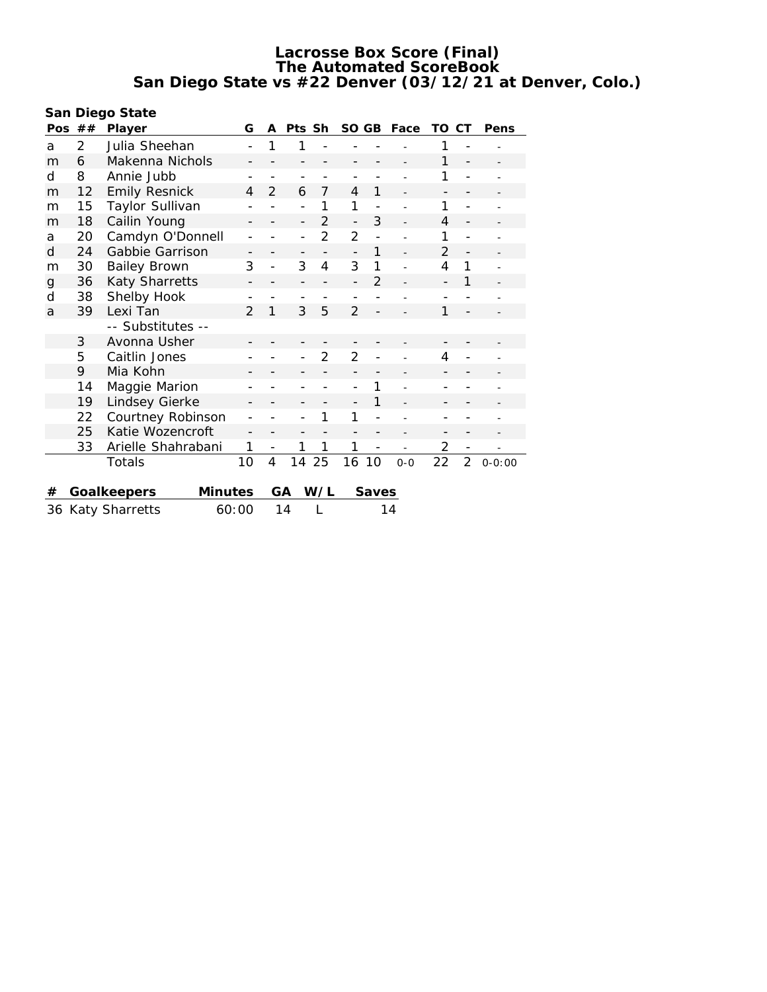**San Diego State**

| Pos | ##                         | G<br>Player            |                          | A              | Pts Sh                   |                | SO GB                    |                          | Face           | TO                       | <b>CT</b>                | Pens                     |
|-----|----------------------------|------------------------|--------------------------|----------------|--------------------------|----------------|--------------------------|--------------------------|----------------|--------------------------|--------------------------|--------------------------|
| a   | 2                          | Julia Sheehan          |                          |                | 1                        |                |                          |                          |                | 1                        |                          |                          |
| m   | 6                          | Makenna Nichols        |                          |                |                          |                |                          |                          |                | 1                        | $\overline{a}$           |                          |
| d   | 8                          | Annie Jubb             |                          |                |                          |                |                          |                          |                | 1                        | $\overline{\phantom{a}}$ |                          |
| m   | 12                         | <b>Emily Resnick</b>   | 4                        | $\overline{2}$ | 6                        | 7              | $\overline{4}$           | 1                        |                | $\overline{\phantom{a}}$ | $\overline{\phantom{a}}$ | $\overline{\phantom{0}}$ |
| m   | 15                         | Taylor Sullivan        | -                        |                |                          | 1              | 1                        |                          |                | 1                        |                          |                          |
| m   | 18                         | Cailin Young           |                          |                | -                        | $\mathfrak{D}$ | $\overline{\phantom{0}}$ | 3                        |                | 4                        |                          |                          |
| a   | 20                         | Camdyn O'Donnell       | $\overline{a}$           |                | $\overline{\phantom{0}}$ | $\overline{2}$ | $\overline{2}$           | $\overline{a}$           |                | 1                        |                          |                          |
| d   | 24                         | Gabbie Garrison        | $\overline{\phantom{0}}$ |                | $\overline{\phantom{a}}$ |                | $\overline{a}$           | $\mathbf{1}$             |                | $\overline{2}$           | $\overline{a}$           |                          |
| m   | 30                         | <b>Bailey Brown</b>    | 3                        | $\overline{a}$ | 3                        | 4              | 3                        | 1                        |                | 4                        | 1                        |                          |
| g   | 36                         | Katy Sharretts         | -                        |                | -                        |                | $\overline{\phantom{0}}$ | $\overline{2}$           |                | $\overline{\phantom{a}}$ | 1                        |                          |
| d   | 38                         | Shelby Hook            | -                        |                | $\qquad \qquad -$        |                | $\overline{\phantom{0}}$ |                          |                | $\overline{\phantom{0}}$ |                          |                          |
| a   | 39                         | Lexi Tan               | $\overline{2}$           | 1              | 3                        | 5              | $\overline{2}$           |                          |                | 1                        |                          |                          |
|     |                            | -- Substitutes --      |                          |                |                          |                |                          |                          |                |                          |                          |                          |
|     | 3                          | Avonna Usher           |                          |                |                          |                |                          |                          |                |                          |                          |                          |
|     | 5                          | Caitlin Jones          |                          |                |                          | $\overline{2}$ | 2                        |                          |                | 4                        | $\overline{\phantom{0}}$ |                          |
|     | 9                          | Mia Kohn               | -                        |                |                          |                | $\overline{a}$           |                          |                |                          |                          |                          |
|     | 14                         | Maggie Marion          | -                        |                |                          |                | $\overline{a}$           | 1                        |                |                          |                          |                          |
|     | 19                         | Lindsey Gierke         |                          |                |                          |                |                          | 1                        |                |                          |                          |                          |
|     | 22                         | Courtney Robinson      |                          |                |                          | 1              | 1                        |                          |                |                          |                          |                          |
|     | 25                         | Katie Wozencroft       |                          |                |                          |                | $\overline{a}$           |                          |                |                          | -                        |                          |
|     | 33                         | Arielle Shahrabani     | 1                        | $\overline{a}$ | 1                        | 1              | 1                        | $\overline{\phantom{a}}$ | $\overline{a}$ | 2                        | $\overline{\phantom{0}}$ |                          |
|     |                            | Totals                 | 10                       | $\overline{4}$ | 14                       | 25             | 16                       | 10                       | $0 - 0$        | 22                       | $\overline{2}$           | $0 - 0:00$               |
|     |                            |                        |                          |                |                          |                |                          |                          |                |                          |                          |                          |
| #   |                            | Minutes<br>Goalkeepers |                          |                | GA                       | W/L            |                          | <b>Saves</b>             |                |                          |                          |                          |
|     | 36 Katy Sharretts<br>60:00 |                        |                          |                | 14                       | L              |                          |                          | 14             |                          |                          |                          |